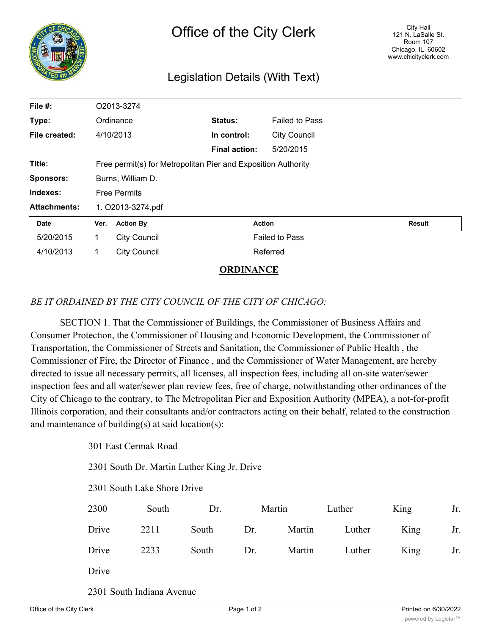

## Legislation Details (With Text)

| File #:             |                                                               | O2013-3274          |               |                       |               |  |  |  |
|---------------------|---------------------------------------------------------------|---------------------|---------------|-----------------------|---------------|--|--|--|
| Type:               |                                                               | Ordinance           | Status:       | <b>Failed to Pass</b> |               |  |  |  |
| File created:       |                                                               | 4/10/2013           | In control:   | <b>City Council</b>   |               |  |  |  |
|                     |                                                               |                     | Final action: | 5/20/2015             |               |  |  |  |
| Title:              | Free permit(s) for Metropolitan Pier and Exposition Authority |                     |               |                       |               |  |  |  |
| <b>Sponsors:</b>    | Burns, William D.                                             |                     |               |                       |               |  |  |  |
| Indexes:            | <b>Free Permits</b>                                           |                     |               |                       |               |  |  |  |
| <b>Attachments:</b> | 1. O2013-3274.pdf                                             |                     |               |                       |               |  |  |  |
| <b>Date</b>         | Ver.                                                          | <b>Action By</b>    |               | <b>Action</b>         | <b>Result</b> |  |  |  |
| 5/20/2015           | 1                                                             | <b>City Council</b> |               | <b>Failed to Pass</b> |               |  |  |  |
| 4/10/2013           | 1                                                             | <b>City Council</b> |               | Referred              |               |  |  |  |

**ORDINANCE**

## *BE IT ORDAINED BY THE CITY COUNCIL OF THE CITY OF CHICAGO:*

SECTION 1. That the Commissioner of Buildings, the Commissioner of Business Affairs and Consumer Protection, the Commissioner of Housing and Economic Development, the Commissioner of Transportation, the Commissioner of Streets and Sanitation, the Commissioner of Public Health , the Commissioner of Fire, the Director of Finance , and the Commissioner of Water Management, are hereby directed to issue all necessary permits, all licenses, all inspection fees, including all on-site water/sewer inspection fees and all water/sewer plan review fees, free of charge, notwithstanding other ordinances of the City of Chicago to the contrary, to The Metropolitan Pier and Exposition Authority (MPEA), a not-for-profit Illinois corporation, and their consultants and/or contractors acting on their behalf, related to the construction and maintenance of building(s) at said location(s):

301 East Cermak Road

2301 South Dr. Martin Luther King Jr. Drive

2301 South Lake Shore Drive

| 2300  | South | Dr.       | Martin | Luther        | King | Jr. |
|-------|-------|-----------|--------|---------------|------|-----|
| Drive | 2211  | South Dr. |        | Martin Luther | King | Jr. |
| Drive | 2233  | South Dr. |        | Martin Luther | King | Jr. |
| Drive |       |           |        |               |      |     |

2301 South Indiana Avenue